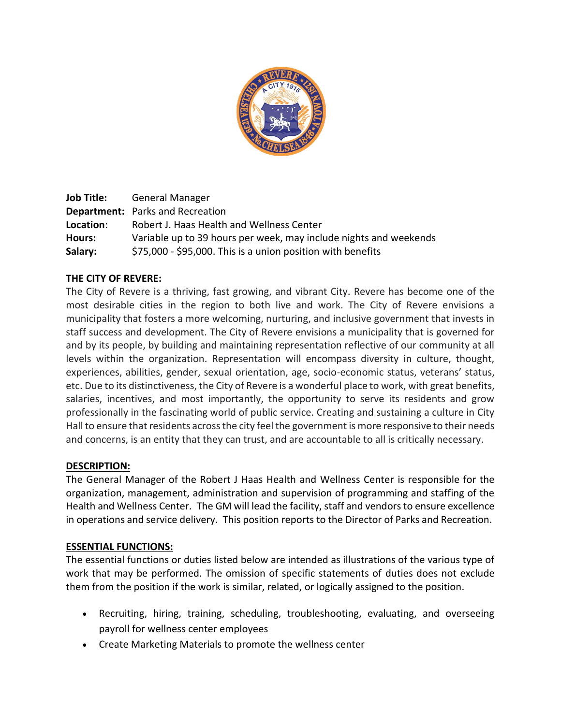

**Job Title:** General Manager **Department:** Parks and Recreation **Location**: Robert J. Haas Health and Wellness Center **Hours:** Variable up to 39 hours per week, may include nights and weekends **Salary:** \$75,000 - \$95,000. This is a union position with benefits

# **THE CITY OF REVERE:**

The City of Revere is a thriving, fast growing, and vibrant City. Revere has become one of the most desirable cities in the region to both live and work. The City of Revere envisions a municipality that fosters a more welcoming, nurturing, and inclusive government that invests in staff success and development. The City of Revere envisions a municipality that is governed for and by its people, by building and maintaining representation reflective of our community at all levels within the organization. Representation will encompass diversity in culture, thought, experiences, abilities, gender, sexual orientation, age, socio-economic status, veterans' status, etc. Due to its distinctiveness, the City of Revere is a wonderful place to work, with great benefits, salaries, incentives, and most importantly, the opportunity to serve its residents and grow professionally in the fascinating world of public service. Creating and sustaining a culture in City Hall to ensure that residents across the city feel the government is more responsive to their needs and concerns, is an entity that they can trust, and are accountable to all is critically necessary.

#### **DESCRIPTION:**

The General Manager of the Robert J Haas Health and Wellness Center is responsible for the organization, management, administration and supervision of programming and staffing of the Health and Wellness Center. The GM will lead the facility, staff and vendors to ensure excellence in operations and service delivery. This position reports to the Director of Parks and Recreation.

# **ESSENTIAL FUNCTIONS:**

The essential functions or duties listed below are intended as illustrations of the various type of work that may be performed. The omission of specific statements of duties does not exclude them from the position if the work is similar, related, or logically assigned to the position.

- Recruiting, hiring, training, scheduling, troubleshooting, evaluating, and overseeing payroll for wellness center employees
- Create Marketing Materials to promote the wellness center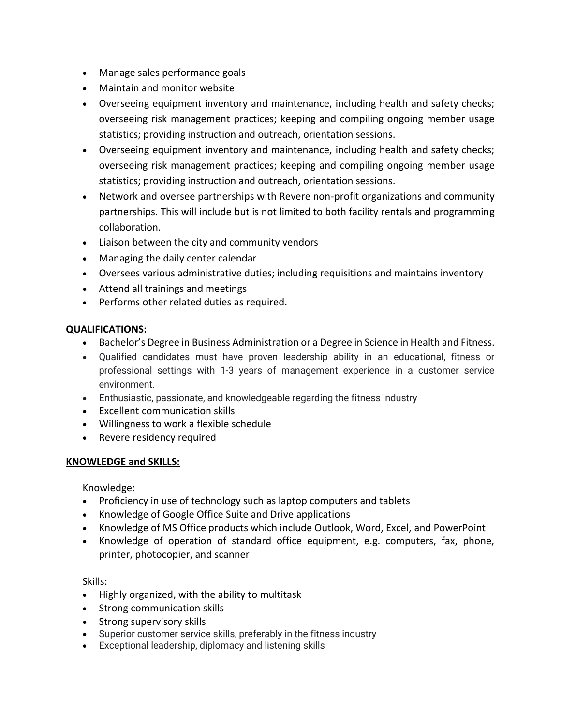- Manage sales performance goals
- Maintain and monitor website
- Overseeing equipment inventory and maintenance, including health and safety checks; overseeing risk management practices; keeping and compiling ongoing member usage statistics; providing instruction and outreach, orientation sessions.
- Overseeing equipment inventory and maintenance, including health and safety checks; overseeing risk management practices; keeping and compiling ongoing member usage statistics; providing instruction and outreach, orientation sessions.
- Network and oversee partnerships with Revere non-profit organizations and community partnerships. This will include but is not limited to both facility rentals and programming collaboration.
- Liaison between the city and community vendors
- Managing the daily center calendar
- Oversees various administrative duties; including requisitions and maintains inventory
- Attend all trainings and meetings
- Performs other related duties as required.

# **QUALIFICATIONS:**

- Bachelor's Degree in Business Administration or a Degree in Science in Health and Fitness.
- Qualified candidates must have proven leadership ability in an educational, fitness or professional settings with 1-3 years of management experience in a customer service environment.
- Enthusiastic, passionate, and knowledgeable regarding the fitness industry
- Excellent communication skills
- Willingness to work a flexible schedule
- Revere residency required

# **KNOWLEDGE and SKILLS:**

Knowledge:

- Proficiency in use of technology such as laptop computers and tablets
- Knowledge of Google Office Suite and Drive applications
- Knowledge of MS Office products which include Outlook, Word, Excel, and PowerPoint
- Knowledge of operation of standard office equipment, e.g. computers, fax, phone, printer, photocopier, and scanner

Skills:

- Highly organized, with the ability to multitask
- Strong communication skills
- Strong supervisory skills
- Superior customer service skills, preferably in the fitness industry
- Exceptional leadership, diplomacy and listening skills